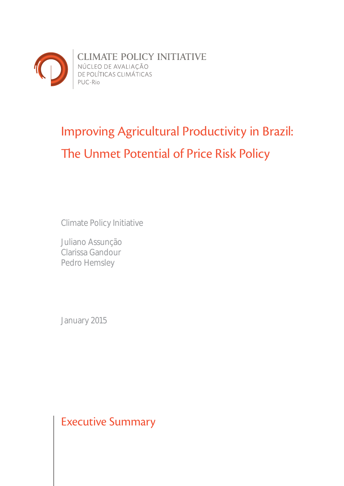

# Improving Agricultural Productivity in Brazil: The Unmet Potential of Price Risk Policy

Climate Policy Initiative

Juliano Assunção Clarissa Gandour Pedro Hemsley

January 2015

Executive Summary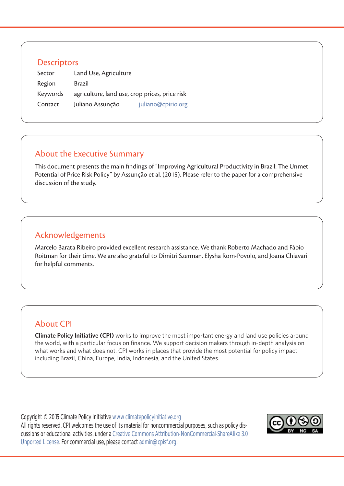### **Descriptors**

| Sector   | Land Use, Agriculture                          |                    |
|----------|------------------------------------------------|--------------------|
| Region   | Brazil                                         |                    |
| Keywords | agriculture, land use, crop prices, price risk |                    |
| Contact  | Juliano Assunção                               | juliano@cpirio.org |

## About the Executive Summary

This document presents the main findings of "Improving Agricultural Productivity in Brazil: The Unmet Potential of Price Risk Policy" by Assunção et al. (2015). Please refer to the paper for a comprehensive discussion of the study.

## Acknowledgements

Marcelo Barata Ribeiro provided excellent research assistance. We thank Roberto Machado and Fábio Roitman for their time. We are also grateful to Dimitri Szerman, Elysha Rom-Povolo, and Joana Chiavari for helpful comments.

## About CPI

**Climate Policy Initiative (CPI)** works to improve the most important energy and land use policies around the world, with a particular focus on finance. We support decision makers through in-depth analysis on what works and what does not. CPI works in places that provide the most potential for policy impact including Brazil, China, Europe, India, Indonesia, and the United States.

Copyright © 2015 Climate Policy Initiative www.climatepolicyinitiative.org All rights reserved. CPI welcomes the use of its material for noncommercial purposes, such as policy discussions or educational activities, under a Creative Commons Attribution-NonCommercial-ShareAlike 3.0 Unported License. For commercial use, please contact admin@cpisf.org.

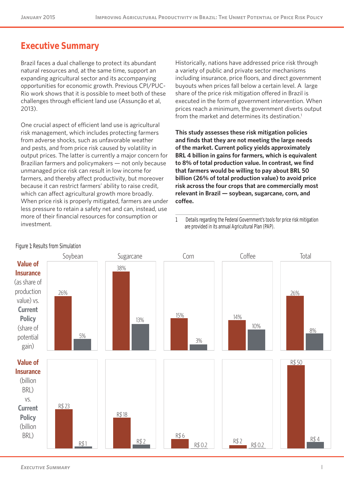## **Executive Summary**

Brazil faces a dual challenge to protect its abundant natural resources and, at the same time, support an expanding agricultural sector and its accompanying opportunities for economic growth. Previous CPI/PUC-Rio work shows that it is possible to meet both of these challenges through efficient land use (Assunção et al, 2013).

One crucial aspect of efficient land use is agricultural risk management, which includes protecting farmers from adverse shocks, such as unfavorable weather and pests, and from price risk caused by volatility in output prices. The latter is currently a major concern for Brazilian farmers and policymakers — not only because unmanaged price risk can result in low income for farmers, and thereby affect productivity, but moreover because it can restrict farmers' ability to raise credit, which can affect agricultural growth more broadly. When price risk is properly mitigated, farmers are under less pressure to retain a safety net and can, instead, use more of their financial resources for consumption or investment.

Historically, nations have addressed price risk through a variety of public and private sector mechanisms including insurance, price floors, and direct government buyouts when prices fall below a certain level. A large share of the price risk mitigation offered in Brazil is executed in the form of government intervention. When prices reach a minimum, the government diverts output from the market and determines its destination.<sup>1</sup>

**This study assesses these risk mitigation policies and finds that they are not meeting the large needs of the market. Current policy yields approximately BRL 4 billion in gains for farmers, which is equivalent to 8% of total production value. In contrast, we find that farmers would be willing to pay about BRL 50 billion (26% of total production value) to avoid price risk across the four crops that are commercially most relevant in Brazil — soybean, sugarcane, corn, and coffee.** 

<sup>1</sup> Details regarding the Federal Government's tools for price risk mitigation are provided in its annual Agricultural Plan (PAP).



#### Figure 1: Results from Simulation